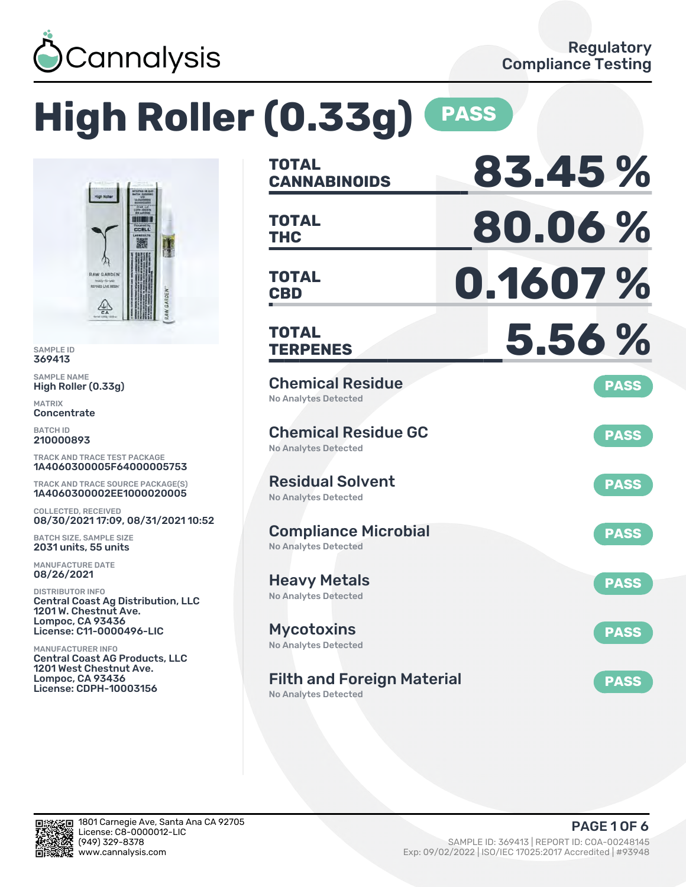

# **High Roller (0.33g) PASS**



SAMPLE ID 369413

SAMPLE NAME High Roller (0.33g)

MATRIX **Concentrate** 

BATCH ID 210000893

TRACK AND TRACE TEST PACKAGE 1A4060300005F64000005753

TRACK AND TRACE SOURCE PACKAGE(S) 1A4060300002EE1000020005

COLLECTED, RECEIVED 08/30/2021 17:09, 08/31/2021 10:52

BATCH SIZE, SAMPLE SIZE 2031 units, 55 units

MANUFACTURE DATE 08/26/2021

DISTRIBUTOR INFO Central Coast Ag Distribution, LLC 1201 W. Chestnut Ave. Lompoc, CA 93436 License: C11-0000496-LIC

MANUFACTURER INFO Central Coast AG Products, LLC 1201 West Chestnut Ave. Lompoc, CA 93436 License: CDPH-10003156

| <b>TOTAL</b><br><b>CANNABINOIDS</b>                              | 83.45%      |
|------------------------------------------------------------------|-------------|
| <b>TOTAL</b><br><b>THC</b>                                       | 80.06%      |
| <b>TOTAL</b><br><b>CBD</b>                                       | 0.1607 %    |
| TOTAL<br><b>TERPENES</b>                                         | 5.56%       |
| <b>Chemical Residue</b><br><b>No Analytes Detected</b>           | <b>PASS</b> |
| <b>Chemical Residue GC</b><br><b>No Analytes Detected</b>        | <b>PASS</b> |
| <b>Residual Solvent</b><br><b>No Analytes Detected</b>           | <b>PASS</b> |
| <b>Compliance Microbial</b><br><b>No Analytes Detected</b>       | <b>PASS</b> |
| <b>Heavy Metals</b><br><b>No Analytes Detected</b>               | <b>PASS</b> |
| <b>Mycotoxins</b><br>No Analytes Detected                        | <b>PASS</b> |
| <b>Filth and Foreign Material</b><br><b>No Analytes Detected</b> | <b>PASS</b> |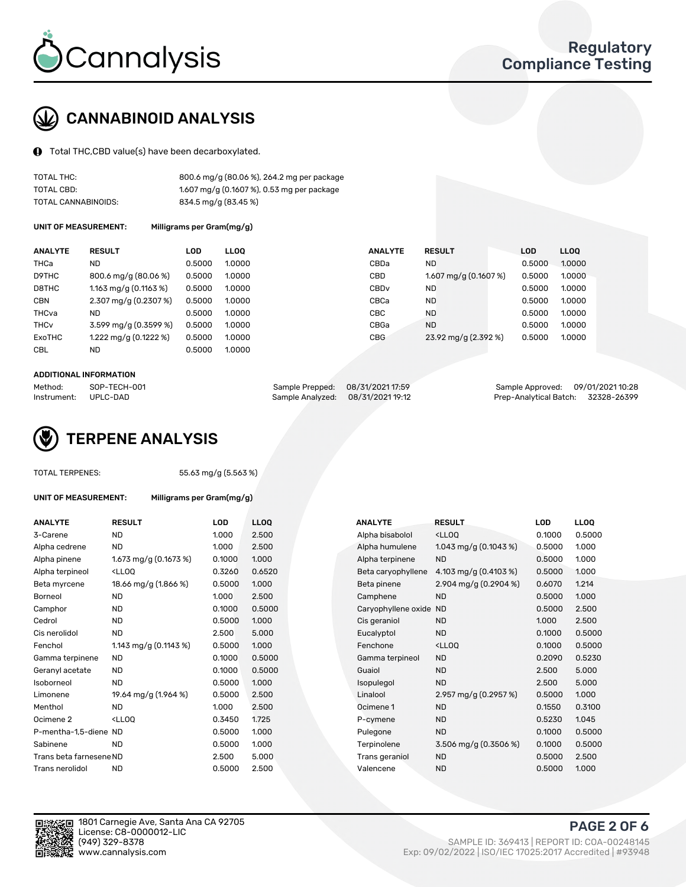

# CANNABINOID ANALYSIS

Total THC,CBD value(s) have been decarboxylated.

| TOTAL THC:          | 800.6 mg/g (80.06 %), 264.2 mg per package |
|---------------------|--------------------------------------------|
| TOTAL CBD:          | 1.607 mg/g (0.1607 %), 0.53 mg per package |
| TOTAL CANNABINOIDS: | 834.5 mg/g (83.45 %)                       |

UNIT OF MEASUREMENT: Milligrams per Gram(mg/g)

| <b>ANALYTE</b>         | <b>RESULT</b>                      | LOD    | <b>LLOO</b> | <b>ANALYTE</b>   | <b>RESULT</b>          | <b>LOD</b> | <b>LLOO</b> |
|------------------------|------------------------------------|--------|-------------|------------------|------------------------|------------|-------------|
| THCa                   | ND                                 | 0.5000 | 1.0000      | CBDa             | <b>ND</b>              | 0.5000     | 1.0000      |
| D9THC                  | 800.6 mg/g (80.06 %)               | 0.5000 | 1.0000      | CBD              | 1.607 mg/g $(0.1607%)$ | 0.5000     | 1.0000      |
| D8THC                  | 1.163 mg/g $(0.1163 \%)$           | 0.5000 | 1.0000      | CBD <sub>v</sub> | <b>ND</b>              | 0.5000     | 1.0000      |
| <b>CBN</b>             | $2.307 \,\mathrm{mg/g}$ (0.2307 %) | 0.5000 | 1.0000      | CBCa             | <b>ND</b>              | 0.5000     | 1.0000      |
| THCva                  | ND                                 | 0.5000 | 1.0000      | CBC              | <b>ND</b>              | 0.5000     | 1.0000      |
| <b>THC<sub>v</sub></b> | 3.599 mg/g (0.3599 %)              | 0.5000 | 1.0000      | CBGa             | <b>ND</b>              | 0.5000     | 1.0000      |
| ExoTHC                 | $1.222 \,\mathrm{mg/g}$ (0.1222 %) | 0.5000 | 1.0000      | <b>CBG</b>       | 23.92 mg/g (2.392 %)   | 0.5000     | 1.0000      |
| <b>CBL</b>             | ND                                 | 0.5000 | 1.0000      |                  |                        |            |             |

#### ADDITIONAL INFORMATION

| Method:     | SOP-TECH-001 | Sample Prepped: 08/31/2021 17:59  | Sample Approved: 09/01/2021 10:28  |  |
|-------------|--------------|-----------------------------------|------------------------------------|--|
| Instrument: | UPLC-DAD     | Sample Analyzed: 08/31/2021 19:12 | Prep-Analytical Batch: 32328-26399 |  |



TOTAL TERPENES: 55.63 mg/g (5.563 %)

| <b>ANALYTE</b>  | <b>RESULT</b>                                                                                                                                          | LOD    | LLOO   | <b>ANALYTE</b>     | <b>RESULT</b>                                     | LOD    | <b>LLOO</b> |
|-----------------|--------------------------------------------------------------------------------------------------------------------------------------------------------|--------|--------|--------------------|---------------------------------------------------|--------|-------------|
| 3-Carene        | <b>ND</b>                                                                                                                                              | 1.000  | 2.500  | Alpha bisabolol    | <lloo< td=""><td>0.1000</td><td>0.50</td></lloo<> | 0.1000 | 0.50        |
| Alpha cedrene   | <b>ND</b>                                                                                                                                              | 1.000  | 2.500  | Alpha humulene     | 1.043 mg/g $(0.1043\%)$                           | 0.5000 | 1.00C       |
| Alpha pinene    | 1.673 mg/g (0.1673 %)                                                                                                                                  | 0.1000 | 1.000  | Alpha terpinene    | <b>ND</b>                                         | 0.5000 | 1.00C       |
| Alpha terpineol | <lloo< td=""><td>0.3260</td><td>0.6520</td><td>Beta caryophyllene</td><td>4.103 mg/g <math>(0.4103\%)</math></td><td>0.5000</td><td>1.000</td></lloo<> | 0.3260 | 0.6520 | Beta caryophyllene | 4.103 mg/g $(0.4103\%)$                           | 0.5000 | 1.000       |
| Beta myrcene    | 18.66 mg/g (1.866 %)                                                                                                                                   | 0.5000 | 1.000  | Beta pinene        | 2.904 mg/g $(0.2904\%)$                           | 0.6070 | 1.214       |
| <b>Borneol</b>  | ΝD                                                                                                                                                     | 1.000  | 2.500  | Camphene           | ND.                                               | 0.5000 | 1.000       |

UNIT OF MEASUREMENT: Milligrams per Gram(mg/g)

| <b>ANALY I E</b>        | <b>KESULI</b>                                                                                                                                           | LUD    | <b>LLUU</b> | <b>ANALYIE</b>      | <b>KESULI</b>                                       | LUD    | LLUU   |
|-------------------------|---------------------------------------------------------------------------------------------------------------------------------------------------------|--------|-------------|---------------------|-----------------------------------------------------|--------|--------|
| 3-Carene                | <b>ND</b>                                                                                                                                               | 1.000  | 2.500       | Alpha bisabolol     | <ll0q< td=""><td>0.1000</td><td>0.5000</td></ll0q<> | 0.1000 | 0.5000 |
| Alpha cedrene           | ND                                                                                                                                                      | 1.000  | 2.500       | Alpha humulene      | 1.043 mg/g $(0.1043\%)$                             | 0.5000 | 1.000  |
| Alpha pinene            | 1.673 mg/g $(0.1673\%)$                                                                                                                                 | 0.1000 | 1.000       | Alpha terpinene     | <b>ND</b>                                           | 0.5000 | 1.000  |
| Alpha terpineol         | <lloq< td=""><td>0.3260</td><td>0.6520</td><td>Beta caryophyllene</td><td>4.103 mg/g <math>(0.4103 \%)</math></td><td>0.5000</td><td>1.000</td></lloq<> | 0.3260 | 0.6520      | Beta caryophyllene  | 4.103 mg/g $(0.4103 \%)$                            | 0.5000 | 1.000  |
| Beta myrcene            | 18.66 mg/g (1.866 %)                                                                                                                                    | 0.5000 | 1.000       | Beta pinene         | 2.904 mg/g $(0.2904\%)$                             | 0.6070 | 1.214  |
| Borneol                 | <b>ND</b>                                                                                                                                               | 1.000  | 2.500       | Camphene            | <b>ND</b>                                           | 0.5000 | 1.000  |
| Camphor                 | <b>ND</b>                                                                                                                                               | 0.1000 | 0.5000      | Caryophyllene oxide | <b>ND</b>                                           | 0.5000 | 2.500  |
| Cedrol                  | <b>ND</b>                                                                                                                                               | 0.5000 | 1.000       | Cis geraniol        | <b>ND</b>                                           | 1.000  | 2.500  |
| Cis nerolidol           | <b>ND</b>                                                                                                                                               | 2.500  | 5.000       | Eucalyptol          | <b>ND</b>                                           | 0.1000 | 0.5000 |
| Fenchol                 | 1.143 mg/g (0.1143 %)                                                                                                                                   | 0.5000 | 1.000       | Fenchone            | <ll0q< td=""><td>0.1000</td><td>0.5000</td></ll0q<> | 0.1000 | 0.5000 |
| Gamma terpinene         | ND                                                                                                                                                      | 0.1000 | 0.5000      | Gamma terpineol     | <b>ND</b>                                           | 0.2090 | 0.5230 |
| Geranyl acetate         | ND.                                                                                                                                                     | 0.1000 | 0.5000      | Guaiol              | <b>ND</b>                                           | 2.500  | 5.000  |
| Isoborneol              | <b>ND</b>                                                                                                                                               | 0.5000 | 1.000       | Isopulegol          | <b>ND</b>                                           | 2.500  | 5.000  |
| Limonene                | 19.64 mg/g (1.964 %)                                                                                                                                    | 0.5000 | 2.500       | Linalool            | 2.957 mg/g (0.2957 %)                               | 0.5000 | 1.000  |
| Menthol                 | ND.                                                                                                                                                     | 1.000  | 2.500       | Ocimene 1           | <b>ND</b>                                           | 0.1550 | 0.3100 |
| Ocimene 2               | <lloq< td=""><td>0.3450</td><td>1.725</td><td>P-cymene</td><td><b>ND</b></td><td>0.5230</td><td>1.045</td></lloq<>                                      | 0.3450 | 1.725       | P-cymene            | <b>ND</b>                                           | 0.5230 | 1.045  |
| P-mentha-1,5-diene ND   |                                                                                                                                                         | 0.5000 | 1.000       | Pulegone            | <b>ND</b>                                           | 0.1000 | 0.5000 |
| Sabinene                | <b>ND</b>                                                                                                                                               | 0.5000 | 1.000       | Terpinolene         | 3.506 mg/g (0.3506 %)                               | 0.1000 | 0.5000 |
| Trans beta farnesene ND |                                                                                                                                                         | 2.500  | 5.000       | Trans geraniol      | <b>ND</b>                                           | 0.5000 | 2.500  |
| Trans nerolidol         | <b>ND</b>                                                                                                                                               | 0.5000 | 2.500       | Valencene           | <b>ND</b>                                           | 0.5000 | 1.000  |



PAGE 2 OF 6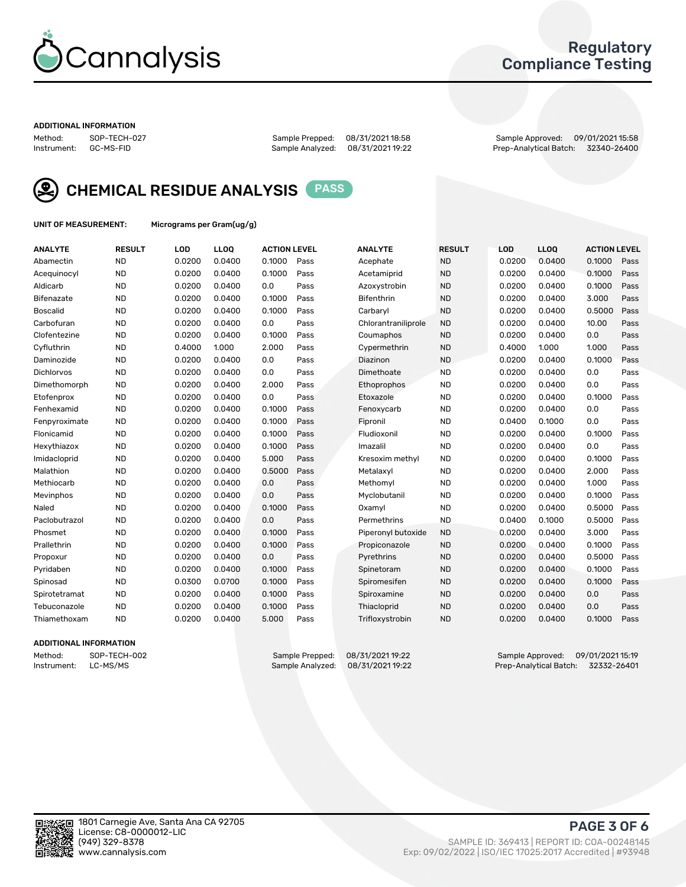

# Regulatory Compliance Testing

#### ADDITIONAL INFORMATION

Method: SOP-TECH-027 Sample Prepped: 08/31/2021 18:58 Sample Approved: 09/01/2021 15:58 Prep-Analytical Batch: 32340-26400



CHEMICAL RESIDUE ANALYSIS PASS

UNIT OF MEASUREMENT: Micrograms per Gram(ug/g)

| <b>ANALYTE</b>    | <b>RESULT</b> | LOD    | LL <sub>OO</sub> | <b>ACTION LEVEL</b> |      | <b>ANALYTE</b>      | <b>RESULT</b> | LOD    | <b>LLOQ</b> | <b>ACTION LEVEL</b> |      |
|-------------------|---------------|--------|------------------|---------------------|------|---------------------|---------------|--------|-------------|---------------------|------|
| Abamectin         | <b>ND</b>     | 0.0200 | 0.0400           | 0.1000              | Pass | Acephate            | <b>ND</b>     | 0.0200 | 0.0400      | 0.1000              | Pass |
| Acequinocyl       | <b>ND</b>     | 0.0200 | 0.0400           | 0.1000              | Pass | Acetamiprid         | <b>ND</b>     | 0.0200 | 0.0400      | 0.1000              | Pass |
| Aldicarb          | <b>ND</b>     | 0.0200 | 0.0400           | 0.0                 | Pass | Azoxystrobin        | <b>ND</b>     | 0.0200 | 0.0400      | 0.1000              | Pass |
| Bifenazate        | <b>ND</b>     | 0.0200 | 0.0400           | 0.1000              | Pass | <b>Bifenthrin</b>   | <b>ND</b>     | 0.0200 | 0.0400      | 3.000               | Pass |
| <b>Boscalid</b>   | <b>ND</b>     | 0.0200 | 0.0400           | 0.1000              | Pass | Carbaryl            | <b>ND</b>     | 0.0200 | 0.0400      | 0.5000              | Pass |
| Carbofuran        | <b>ND</b>     | 0.0200 | 0.0400           | 0.0                 | Pass | Chlorantraniliprole | <b>ND</b>     | 0.0200 | 0.0400      | 10.00               | Pass |
| Clofentezine      | <b>ND</b>     | 0.0200 | 0.0400           | 0.1000              | Pass | Coumaphos           | <b>ND</b>     | 0.0200 | 0.0400      | 0.0                 | Pass |
| Cyfluthrin        | <b>ND</b>     | 0.4000 | 1.000            | 2.000               | Pass | Cypermethrin        | <b>ND</b>     | 0.4000 | 1.000       | 1.000               | Pass |
| Daminozide        | <b>ND</b>     | 0.0200 | 0.0400           | 0.0                 | Pass | Diazinon            | <b>ND</b>     | 0.0200 | 0.0400      | 0.1000              | Pass |
| <b>Dichlorvos</b> | <b>ND</b>     | 0.0200 | 0.0400           | 0.0                 | Pass | Dimethoate          | <b>ND</b>     | 0.0200 | 0.0400      | 0.0                 | Pass |
| Dimethomorph      | <b>ND</b>     | 0.0200 | 0.0400           | 2.000               | Pass | Ethoprophos         | <b>ND</b>     | 0.0200 | 0.0400      | 0.0                 | Pass |
| Etofenprox        | <b>ND</b>     | 0.0200 | 0.0400           | 0.0                 | Pass | Etoxazole           | <b>ND</b>     | 0.0200 | 0.0400      | 0.1000              | Pass |
| Fenhexamid        | <b>ND</b>     | 0.0200 | 0.0400           | 0.1000              | Pass | Fenoxycarb          | <b>ND</b>     | 0.0200 | 0.0400      | 0.0                 | Pass |
| Fenpyroximate     | <b>ND</b>     | 0.0200 | 0.0400           | 0.1000              | Pass | Fipronil            | <b>ND</b>     | 0.0400 | 0.1000      | 0.0                 | Pass |
| Flonicamid        | <b>ND</b>     | 0.0200 | 0.0400           | 0.1000              | Pass | Fludioxonil         | <b>ND</b>     | 0.0200 | 0.0400      | 0.1000              | Pass |
| Hexythiazox       | <b>ND</b>     | 0.0200 | 0.0400           | 0.1000              | Pass | Imazalil            | <b>ND</b>     | 0.0200 | 0.0400      | 0.0                 | Pass |
| Imidacloprid      | <b>ND</b>     | 0.0200 | 0.0400           | 5.000               | Pass | Kresoxim methyl     | <b>ND</b>     | 0.0200 | 0.0400      | 0.1000              | Pass |
| Malathion         | <b>ND</b>     | 0.0200 | 0.0400           | 0.5000              | Pass | Metalaxyl           | <b>ND</b>     | 0.0200 | 0.0400      | 2.000               | Pass |
| Methiocarb        | <b>ND</b>     | 0.0200 | 0.0400           | 0.0                 | Pass | Methomyl            | <b>ND</b>     | 0.0200 | 0.0400      | 1.000               | Pass |
| Mevinphos         | <b>ND</b>     | 0.0200 | 0.0400           | 0.0                 | Pass | Myclobutanil        | <b>ND</b>     | 0.0200 | 0.0400      | 0.1000              | Pass |
| Naled             | <b>ND</b>     | 0.0200 | 0.0400           | 0.1000              | Pass | Oxamyl              | <b>ND</b>     | 0.0200 | 0.0400      | 0.5000              | Pass |
| Paclobutrazol     | <b>ND</b>     | 0.0200 | 0.0400           | 0.0                 | Pass | Permethrins         | <b>ND</b>     | 0.0400 | 0.1000      | 0.5000              | Pass |
| Phosmet           | <b>ND</b>     | 0.0200 | 0.0400           | 0.1000              | Pass | Piperonyl butoxide  | <b>ND</b>     | 0.0200 | 0.0400      | 3.000               | Pass |
| Prallethrin       | <b>ND</b>     | 0.0200 | 0.0400           | 0.1000              | Pass | Propiconazole       | <b>ND</b>     | 0.0200 | 0.0400      | 0.1000              | Pass |
| Propoxur          | <b>ND</b>     | 0.0200 | 0.0400           | 0.0                 | Pass | Pyrethrins          | <b>ND</b>     | 0.0200 | 0.0400      | 0.5000              | Pass |
| Pyridaben         | <b>ND</b>     | 0.0200 | 0.0400           | 0.1000              | Pass | Spinetoram          | <b>ND</b>     | 0.0200 | 0.0400      | 0.1000              | Pass |
| Spinosad          | <b>ND</b>     | 0.0300 | 0.0700           | 0.1000              | Pass | Spiromesifen        | <b>ND</b>     | 0.0200 | 0.0400      | 0.1000              | Pass |
| Spirotetramat     | <b>ND</b>     | 0.0200 | 0.0400           | 0.1000              | Pass | Spiroxamine         | <b>ND</b>     | 0.0200 | 0.0400      | 0.0                 | Pass |
| Tebuconazole      | <b>ND</b>     | 0.0200 | 0.0400           | 0.1000              | Pass | Thiacloprid         | <b>ND</b>     | 0.0200 | 0.0400      | 0.0                 | Pass |
| Thiamethoxam      | <b>ND</b>     | 0.0200 | 0.0400           | 5.000               | Pass | Trifloxystrobin     | <b>ND</b>     | 0.0200 | 0.0400      | 0.1000              | Pass |

### ADDITIONAL INFORMATION

Method: SOP-TECH-002 Sample Prepped: 08/31/2021 19:22 Sample Approved: 09/01/2021 15:19<br>Instrument: LC-MS/MS Sample Analyzed: 08/31/2021 19:22 Prep-Analytical Batch: 32332-26401 Prep-Analytical Batch: 32332-26401

PAGE 3 OF 6

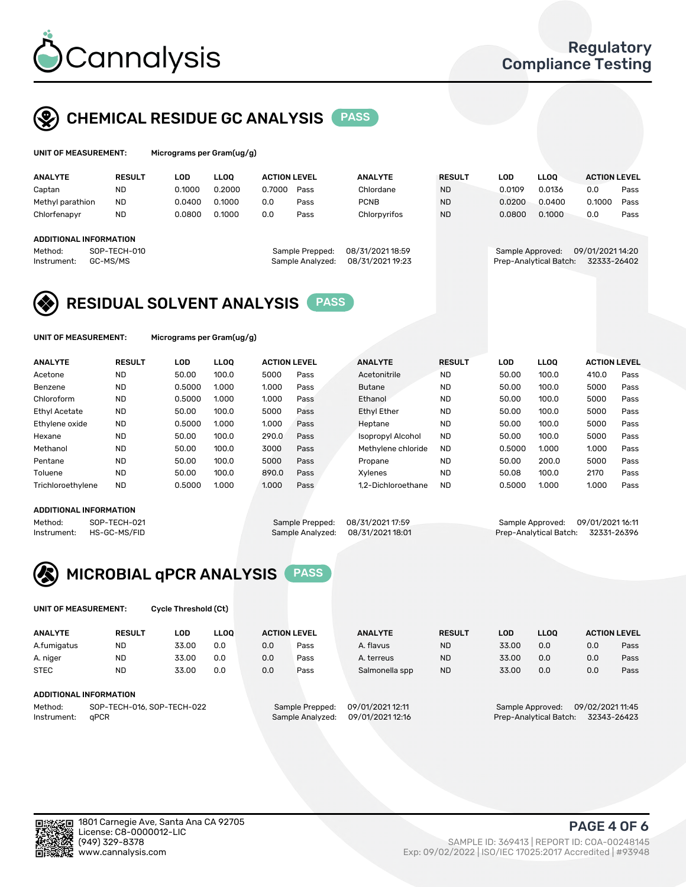

# CHEMICAL RESIDUE GC ANALYSIS PASS

| UNIT OF MEASUREMENT: | Micrograms per Gram(ug/g) |
|----------------------|---------------------------|
|                      |                           |

| <b>ANALYTE</b>         | <b>RESULT</b> | LOD    | <b>LLOO</b> | <b>ACTION LEVEL</b> |                  | <b>ANALYTE</b>   | <b>RESULT</b> | LOD              | <b>LLOO</b>            | <b>ACTION LEVEL</b> |      |
|------------------------|---------------|--------|-------------|---------------------|------------------|------------------|---------------|------------------|------------------------|---------------------|------|
| Captan                 | <b>ND</b>     | 0.1000 | 0.2000      | 0.7000              | Pass             | Chlordane        | <b>ND</b>     | 0.0109           | 0.0136                 | 0.0                 | Pass |
| Methyl parathion       | <b>ND</b>     | 0.0400 | 0.1000      | 0.0                 | Pass             | <b>PCNB</b>      | <b>ND</b>     | 0.0200           | 0.0400                 | 0.1000              | Pass |
| Chlorfenapyr           | <b>ND</b>     | 0.0800 | 0.1000      | 0.0                 | Pass             | Chlorpyrifos     | <b>ND</b>     | 0.0800           | 0.1000                 | 0.0                 | Pass |
|                        |               |        |             |                     |                  |                  |               |                  |                        |                     |      |
| ADDITIONAL INFORMATION |               |        |             |                     |                  |                  |               |                  |                        |                     |      |
| Method:                | SOP-TECH-010  |        |             |                     | Sample Prepped:  | 08/31/2021 18:59 |               | Sample Approved: |                        | 09/01/2021 14:20    |      |
| Instrument:            | GC-MS/MS      |        |             |                     | Sample Analyzed: | 08/31/2021 19:23 |               |                  | Prep-Analytical Batch: | 32333-26402         |      |

# RESIDUAL SOLVENT ANALYSIS PASS

UNIT OF MEASUREMENT: Micrograms per Gram(ug/g)

| <b>ANALYTE</b>       | <b>RESULT</b> | <b>LOD</b> | <b>LLOO</b> | <b>ACTION LEVEL</b> |      | <b>ANALYTE</b>           | <b>RESULT</b> | <b>LOD</b> | LLOO  | <b>ACTION LEVEL</b> |      |
|----------------------|---------------|------------|-------------|---------------------|------|--------------------------|---------------|------------|-------|---------------------|------|
| Acetone              | <b>ND</b>     | 50.00      | 100.0       | 5000                | Pass | Acetonitrile             | <b>ND</b>     | 50.00      | 100.0 | 410.0               | Pass |
| Benzene              | <b>ND</b>     | 0.5000     | 1.000       | 1.000               | Pass | <b>Butane</b>            | <b>ND</b>     | 50.00      | 100.0 | 5000                | Pass |
| Chloroform           | <b>ND</b>     | 0.5000     | 1.000       | 1.000               | Pass | Ethanol                  | <b>ND</b>     | 50.00      | 100.0 | 5000                | Pass |
| <b>Ethyl Acetate</b> | <b>ND</b>     | 50.00      | 100.0       | 5000                | Pass | <b>Ethyl Ether</b>       | <b>ND</b>     | 50.00      | 100.0 | 5000                | Pass |
| Ethylene oxide       | <b>ND</b>     | 0.5000     | 1.000       | 1.000               | Pass | Heptane                  | <b>ND</b>     | 50.00      | 100.0 | 5000                | Pass |
| Hexane               | <b>ND</b>     | 50.00      | 100.0       | 290.0               | Pass | <b>Isopropyl Alcohol</b> | <b>ND</b>     | 50.00      | 100.0 | 5000                | Pass |
| Methanol             | <b>ND</b>     | 50.00      | 100.0       | 3000                | Pass | Methylene chloride       | <b>ND</b>     | 0.5000     | 1.000 | 1.000               | Pass |
| Pentane              | <b>ND</b>     | 50.00      | 100.0       | 5000                | Pass | Propane                  | <b>ND</b>     | 50.00      | 200.0 | 5000                | Pass |
| Toluene              | <b>ND</b>     | 50.00      | 100.0       | 890.0               | Pass | Xvlenes                  | <b>ND</b>     | 50.08      | 100.0 | 2170                | Pass |
| Trichloroethylene    | <b>ND</b>     | 0.5000     | 1.000       | 1.000               | Pass | 1.2-Dichloroethane       | <b>ND</b>     | 0.5000     | 1.000 | 1.000               | Pass |

#### ADDITIONAL INFORMATION

Method: SOP-TECH-021 Sample Prepped: 08/31/202117:59 Sample Approved: 09/01/202116:11<br>Sample Analyzed: 08/31/2021 18:01 Prep-Analytical Batch: 32331-26396 Prep-Analytical Batch: 32331-26396



UNIT OF MEASUREMENT: Cycle Threshold (Ct)

| <b>ANALYTE</b>         | <b>RESULT</b>              | LOD   | <b>LLOO</b> |     | <b>ACTION LEVEL</b> | <b>ANALYTE</b>   | <b>RESULT</b> | LOD                    | <b>LLOO</b>      |                  | <b>ACTION LEVEL</b> |
|------------------------|----------------------------|-------|-------------|-----|---------------------|------------------|---------------|------------------------|------------------|------------------|---------------------|
| A.fumigatus            | <b>ND</b>                  | 33.00 | 0.0         | 0.0 | Pass                | A. flavus        | <b>ND</b>     | 33.00                  | 0.0              | 0.0              | Pass                |
| A. niger               | <b>ND</b>                  | 33.00 | 0.0         | 0.0 | Pass                | A. terreus       | <b>ND</b>     | 33.00                  | 0.0              | 0.0              | Pass                |
| <b>STEC</b>            | <b>ND</b>                  | 33.00 | 0.0         | 0.0 | Pass                | Salmonella spp   | <b>ND</b>     | 33.00                  | 0.0              | 0.0              | Pass                |
| ADDITIONAL INFORMATION |                            |       |             |     |                     |                  |               |                        |                  |                  |                     |
| Method:                | SOP-TECH-016, SOP-TECH-022 |       |             |     | Sample Prepped:     | 09/01/2021 12:11 |               |                        | Sample Approved: | 09/02/2021 11:45 |                     |
| Instrument:            | aPCR                       |       |             |     | Sample Analyzed:    | 09/01/2021 12:16 |               | Prep-Analytical Batch: |                  |                  | 32343-26423         |

PAGE 4 OF 6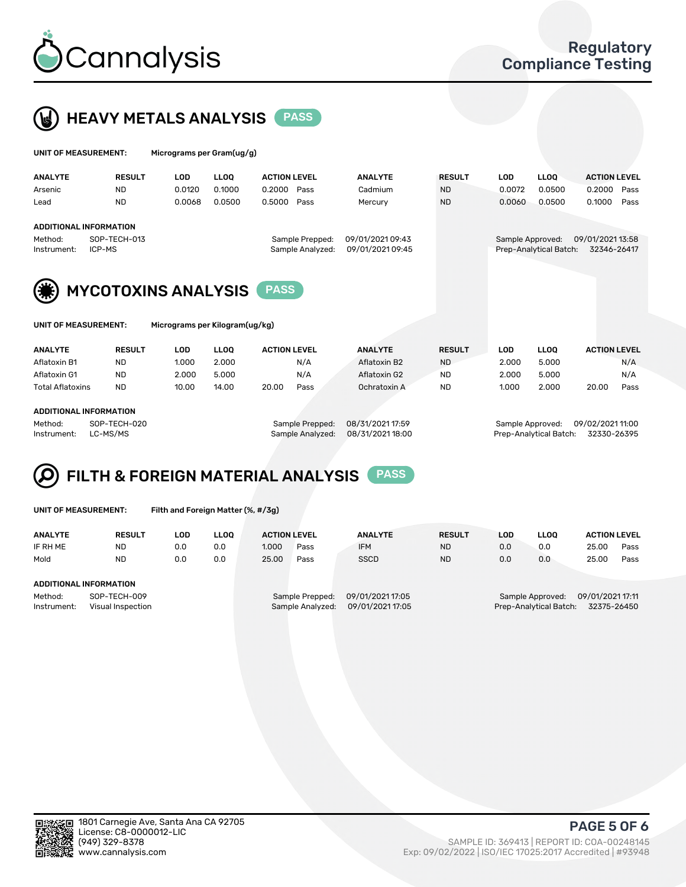



| UNIT OF MEASUREMENT:   |                               | Micrograms per Gram(ug/g) |             |                                     |                                      |               |            |                                            |                                 |      |
|------------------------|-------------------------------|---------------------------|-------------|-------------------------------------|--------------------------------------|---------------|------------|--------------------------------------------|---------------------------------|------|
| <b>ANALYTE</b>         | <b>RESULT</b>                 | <b>LOD</b>                | <b>LLOO</b> | <b>ACTION LEVEL</b>                 | <b>ANALYTE</b>                       | <b>RESULT</b> | <b>LOD</b> | LLOO <sup>1</sup>                          | <b>ACTION LEVEL</b>             |      |
| Arsenic                | <b>ND</b>                     | 0.0120                    | 0.1000      | 0.2000<br>Pass                      | Cadmium                              | <b>ND</b>     | 0.0072     | 0.0500                                     | 0.2000                          | Pass |
| Lead                   | <b>ND</b>                     | 0.0068                    | 0.0500      | 0.5000<br>Pass                      | Mercury                              | <b>ND</b>     | 0.0060     | 0.0500                                     | 0.1000                          | Pass |
|                        | <b>ADDITIONAL INFORMATION</b> |                           |             |                                     |                                      |               |            |                                            |                                 |      |
| Method:<br>Instrument: | SOP-TECH-013<br>ICP-MS        |                           |             | Sample Prepped:<br>Sample Analyzed: | 09/01/2021 09:43<br>09/01/2021 09:45 |               |            | Sample Approved:<br>Prep-Analytical Batch: | 09/01/2021 13:58<br>32346-26417 |      |
| (楽)                    | <b>MYCOTOXINS ANALYSIS</b>    |                           |             | <b>PASS</b>                         |                                      |               |            |                                            |                                 |      |





|  |  | UNIT OF MEASUREMENT: |  |
|--|--|----------------------|--|
|--|--|----------------------|--|

Micrograms per Kilogram(ug/kg)

| <b>ANALYTE</b>          | <b>RESULT</b> | LOD   | <b>LLOO</b> | <b>ACTION LEVEL</b> |      | <b>ANALYTE</b> | <b>RESULT</b> | LOD   | <b>LLOO</b> | <b>ACTION LEVEL</b> |      |
|-------------------------|---------------|-------|-------------|---------------------|------|----------------|---------------|-------|-------------|---------------------|------|
| Aflatoxin B1            | <b>ND</b>     | 1.000 | 2.000       |                     | N/A  | Aflatoxin B2   | <b>ND</b>     | 2.000 | 5.000       |                     | N/A  |
| Aflatoxin G1            | <b>ND</b>     | 2.000 | 5.000       |                     | N/A  | Aflatoxin G2   | <b>ND</b>     | 2.000 | 5.000       |                     | N/A  |
| <b>Total Aflatoxins</b> | <b>ND</b>     | 10.00 | 14.00       | 20.00               | Pass | Ochratoxin A   | <b>ND</b>     | 1.000 | 2.000       | 20.00               | Pass |
|                         |               |       |             |                     |      |                |               |       |             |                     |      |

### ADDITIONAL INFORMATION

Method: SOP-TECH-020 Sample Prepped: 08/31/2021 17:59 Sample Approved: 09/02/2021 11:00 Instrument: LC-MS/MS Sample Analyzed: 08/31/2021 18:00 Prep-Analytical Batch: 32330-26395

# FILTH & FOREIGN MATERIAL ANALYSIS PASS

UNIT OF MEASUREMENT: Filth and Foreign Matter (%, #/3g)

| <b>ANALYTE</b>                                              | <b>RESULT</b> | LOD | <b>LLOO</b> | <b>ACTION LEVEL</b> |                                     | <b>ANALYTE</b>                       | <b>RESULT</b> | LOD | <b>LLOO</b> | <b>ACTION LEVEL</b>                                                           |      |  |  |
|-------------------------------------------------------------|---------------|-----|-------------|---------------------|-------------------------------------|--------------------------------------|---------------|-----|-------------|-------------------------------------------------------------------------------|------|--|--|
| IF RH ME                                                    | <b>ND</b>     | 0.0 | 0.0         | 1.000               | Pass                                | <b>IFM</b>                           | <b>ND</b>     | 0.0 | 0.0         | 25.00                                                                         | Pass |  |  |
| Mold                                                        | <b>ND</b>     | 0.0 | 0.0         | 25.00               | Pass                                | <b>SSCD</b>                          | <b>ND</b>     | 0.0 | 0.0         | 25.00                                                                         | Pass |  |  |
| ADDITIONAL INFORMATION                                      |               |     |             |                     |                                     |                                      |               |     |             |                                                                               |      |  |  |
| SOP-TECH-009<br>Method:<br>Instrument:<br>Visual Inspection |               |     |             |                     | Sample Prepped:<br>Sample Analyzed: | 09/01/2021 17:05<br>09/01/2021 17:05 |               |     |             | 09/01/2021 17:11<br>Sample Approved:<br>32375-26450<br>Prep-Analytical Batch: |      |  |  |



PAGE 5 OF 6